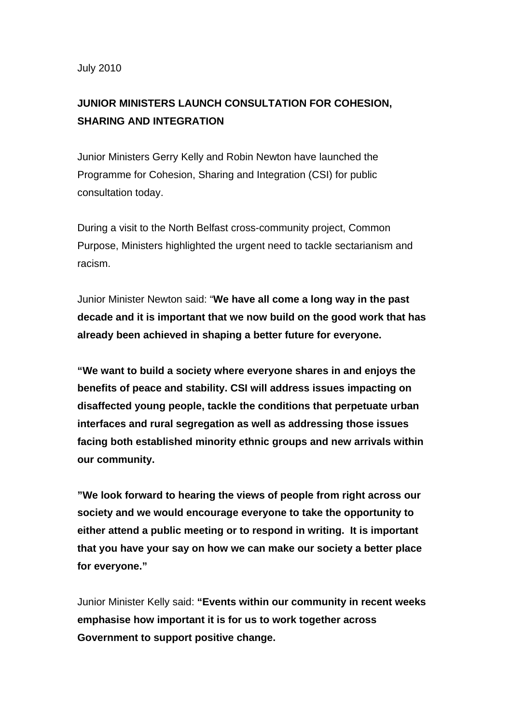## July 2010

## **JUNIOR MINISTERS LAUNCH CONSULTATION FOR COHESION, SHARING AND INTEGRATION**

Junior Ministers Gerry Kelly and Robin Newton have launched the Programme for Cohesion, Sharing and Integration (CSI) for public consultation today.

During a visit to the North Belfast cross-community project, Common Purpose, Ministers highlighted the urgent need to tackle sectarianism and racism.

Junior Minister Newton said: "**We have all come a long way in the past decade and it is important that we now build on the good work that has already been achieved in shaping a better future for everyone.** 

**"We want to build a society where everyone shares in and enjoys the benefits of peace and stability. CSI will address issues impacting on disaffected young people, tackle the conditions that perpetuate urban interfaces and rural segregation as well as addressing those issues facing both established minority ethnic groups and new arrivals within our community.** 

**"We look forward to hearing the views of people from right across our society and we would encourage everyone to take the opportunity to either attend a public meeting or to respond in writing. It is important that you have your say on how we can make our society a better place for everyone."** 

Junior Minister Kelly said: **"Events within our community in recent weeks emphasise how important it is for us to work together across Government to support positive change.**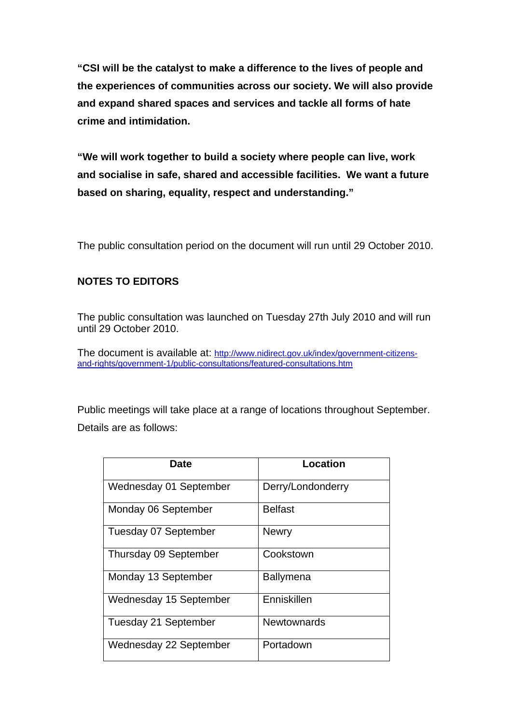**"CSI will be the catalyst to make a difference to the lives of people and the experiences of communities across our society. We will also provide and expand shared spaces and services and tackle all forms of hate crime and intimidation.** 

**"We will work together to build a society where people can live, work and socialise in safe, shared and accessible facilities. We want a future based on sharing, equality, respect and understanding."** 

The public consultation period on the document will run until 29 October 2010.

## **NOTES TO EDITORS**

The public consultation was launched on Tuesday 27th July 2010 and will run until 29 October 2010.

The document is available at: [http://www.nidirect.gov.uk/index/government-citizens](http://www.nidirect.gov.uk/index/government-citizens-and-rights/government-1/public-consultations/featured-consultations.htm)[and-rights/government-1/public-consultations/featured-consultations.htm](http://www.nidirect.gov.uk/index/government-citizens-and-rights/government-1/public-consultations/featured-consultations.htm)

Public meetings will take place at a range of locations throughout September. Details are as follows:

| Date                        | Location           |
|-----------------------------|--------------------|
| Wednesday 01 September      | Derry/Londonderry  |
| Monday 06 September         | Belfast            |
| <b>Tuesday 07 September</b> | <b>Newry</b>       |
| Thursday 09 September       | Cookstown          |
| Monday 13 September         | <b>Ballymena</b>   |
| Wednesday 15 September      | Enniskillen        |
| Tuesday 21 September        | <b>Newtownards</b> |
| Wednesday 22 September      | Portadown          |